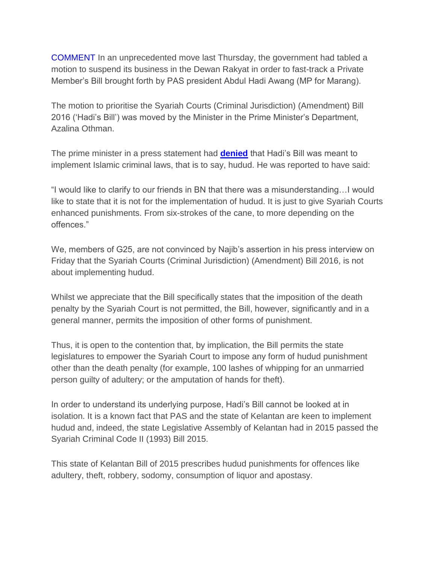COMMENT In an unprecedented move last Thursday, the government had tabled a motion to suspend its business in the Dewan Rakyat in order to fast-track a Private Member's Bill brought forth by PAS president Abdul Hadi Awang (MP for Marang).

The motion to prioritise the Syariah Courts (Criminal Jurisdiction) (Amendment) Bill 2016 ('Hadi's Bill') was moved by the Minister in the Prime Minister's Department, Azalina Othman.

The prime minister in a press statement had **[denied](https://www.malaysiakini.com/news/343257)** that Hadi's Bill was meant to implement Islamic criminal laws, that is to say, hudud. He was reported to have said:

"I would like to clarify to our friends in BN that there was a misunderstanding…I would like to state that it is not for the implementation of hudud. It is just to give Syariah Courts enhanced punishments. From six-strokes of the cane, to more depending on the offences."

We, members of G25, are not convinced by Najib's assertion in his press interview on Friday that the Syariah Courts (Criminal Jurisdiction) (Amendment) Bill 2016, is not about implementing hudud.

Whilst we appreciate that the Bill specifically states that the imposition of the death penalty by the Syariah Court is not permitted, the Bill, however, significantly and in a general manner, permits the imposition of other forms of punishment.

Thus, it is open to the contention that, by implication, the Bill permits the state legislatures to empower the Syariah Court to impose any form of hudud punishment other than the death penalty (for example, 100 lashes of whipping for an unmarried person guilty of adultery; or the amputation of hands for theft).

In order to understand its underlying purpose, Hadi's Bill cannot be looked at in isolation. It is a known fact that PAS and the state of Kelantan are keen to implement hudud and, indeed, the state Legislative Assembly of Kelantan had in 2015 passed the Syariah Criminal Code II (1993) Bill 2015.

This state of Kelantan Bill of 2015 prescribes hudud punishments for offences like adultery, theft, robbery, sodomy, consumption of liquor and apostasy.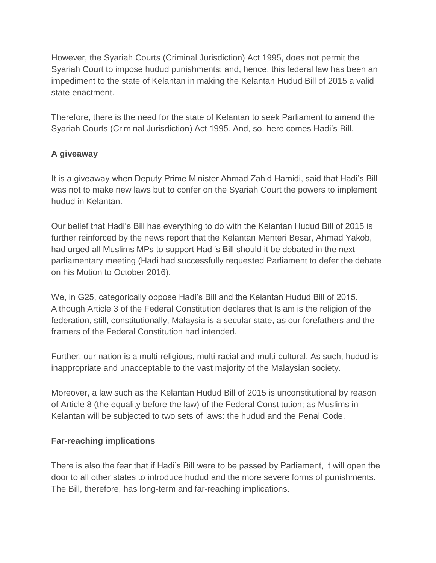However, the Syariah Courts (Criminal Jurisdiction) Act 1995, does not permit the Syariah Court to impose hudud punishments; and, hence, this federal law has been an impediment to the state of Kelantan in making the Kelantan Hudud Bill of 2015 a valid state enactment.

Therefore, there is the need for the state of Kelantan to seek Parliament to amend the Syariah Courts (Criminal Jurisdiction) Act 1995. And, so, here comes Hadi's Bill.

## **A giveaway**

It is a giveaway when Deputy Prime Minister Ahmad Zahid Hamidi, said that Hadi's Bill was not to make new laws but to confer on the Syariah Court the powers to implement hudud in Kelantan.

Our belief that Hadi's Bill has everything to do with the Kelantan Hudud Bill of 2015 is further reinforced by the news report that the Kelantan Menteri Besar, Ahmad Yakob, had urged all Muslims MPs to support Hadi's Bill should it be debated in the next parliamentary meeting (Hadi had successfully requested Parliament to defer the debate on his Motion to October 2016).

We, in G25, categorically oppose Hadi's Bill and the Kelantan Hudud Bill of 2015. Although Article 3 of the Federal Constitution declares that Islam is the religion of the federation, still, constitutionally, Malaysia is a secular state, as our forefathers and the framers of the Federal Constitution had intended.

Further, our nation is a multi-religious, multi-racial and multi-cultural. As such, hudud is inappropriate and unacceptable to the vast majority of the Malaysian society.

Moreover, a law such as the Kelantan Hudud Bill of 2015 is unconstitutional by reason of Article 8 (the equality before the law) of the Federal Constitution; as Muslims in Kelantan will be subjected to two sets of laws: the hudud and the Penal Code.

## **Far-reaching implications**

There is also the fear that if Hadi's Bill were to be passed by Parliament, it will open the door to all other states to introduce hudud and the more severe forms of punishments. The Bill, therefore, has long-term and far-reaching implications.